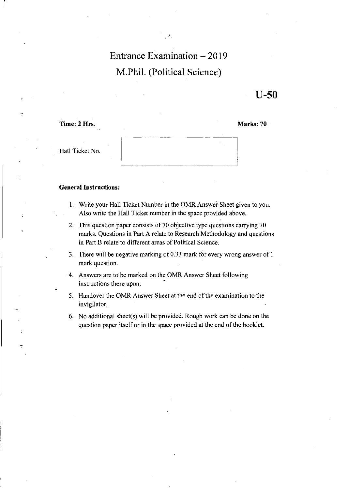# **Entrance Examination - 2019 M.Phil. (Political Science)**

 $\mathcal{E}^{\infty}$  ,

**U-50** 

**Time:** 2 Hrs. **Marks: 70** 

r

| Hall Ticket No. |  |
|-----------------|--|

## **General Instructions:**

- **I.** Write your Hall Ticket Number in the OMR Answer Sheet given to you. Also write the Hall Ticket number in the space provided above.
- 2. This question paper consists of 70 objective type questions carrying 70 marks. Questions in Part A relate to Research Methodology and questions in Part B relate to different areas of Political Science,
- 3, There will be negative marking of 0.33 mark for every wrong answer of I mark question.
- 4. Answers are to be marked on the OMR Answer Sheet following instructions there upon.
- 5. Handover the OMR Answer Sheet at the end of the examination to the invigilator.
- 6. No additional sheet(s) will be provided, Rough work can be done on the question paper itself or in the space provided at the end of the booklet.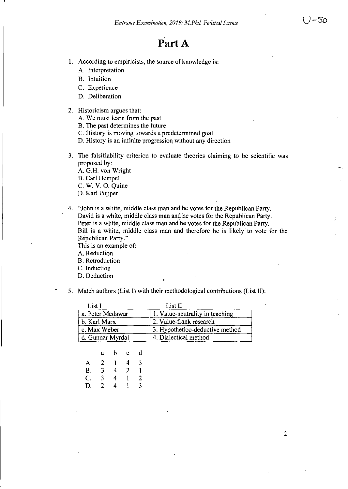# Part A

- 1. According to empiricists, the source of knowledge is:
	- A. Interpretation
	- B. Intuition
	- C. Experience
	- D. Deliberation
- 2. Historicism argues that:
	- A. We must learn from the past
	- B. The past determines the future
	- C. History is moving towards a predetermined goal
	- D. History is an infinite progression without any direction
- 3. The falsifiability criterion to evaluate theories claiming to be scientific was proposed by:
	- A. G.H. von Wright B. Carl Hempel C. W. V. o. Quine
	- D. Karl Popper
- 4. "John is a white, middle class man and he votes for the Republican Party. David is a white, middle class man and he votes for the Republican Party. Peter is a white, middle class man and he votes for the Republican Party. Bill is a white, middle class man and therefore he is likely to vote for the Republican Party."

This is an example of:

A. Reduction

- B. Retroduction
- C. Induction
- D. Deduction
- 5. Match authors (List I) with their methodological contributions (List II):

| List I           | List II                         |
|------------------|---------------------------------|
| a. Peter Medawar | 1. Value-neutrality in teaching |
| b. Karl Marx     | 2. Value-frank research         |
| c. Max Weber     | 3. Hypothetico-deductive method |
| d. Gunnar Myrdal | 4. Dialectical method           |

|           | a | b | Ċ | d |
|-----------|---|---|---|---|
| А.        | 2 |   | 4 | 3 |
| <b>B.</b> | 3 | 4 | 2 |   |
| C.        | 3 | 4 |   | 2 |
| D.        | 2 | 4 |   | 3 |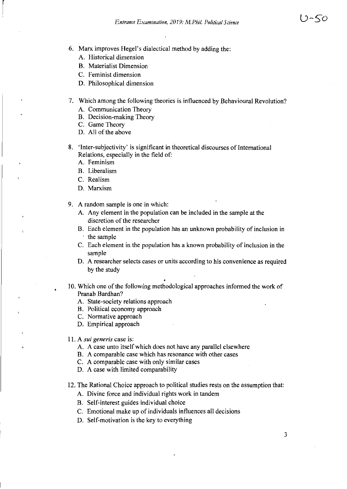- 6. Marx improves Hegel's dialectical method by adding the:
	- A. Historical dimension

 $\vert$ 

- B. Materialist Dimension
- C. Feminist dimension
- D. Philosophical dimension
- 7. Which among the following theories is influenced by Behavioural Revolution?
	- A. Communication Theory
	- B. Decision-making Theory
	- C. Game Theory
	- D. All of the above
- 8. 'Inter-subjectivity' is significant in theoretical discourses of International Relations, especially in the field of:
	- A. Feminism
	- B. Liberalism
	- C. Realism
	- D. Marxism
- 9. A random sample is one in which:
	- A. Any element in the population can be included in the sample at the discretion of the researcher
	- B. Each element in the population has an unknown probability of inclusion in the sample
	- C. Each element in the population has a known probability of inclusion in the sample
	- D. A researcher selects cases or units according to his convenience as required by the study
- 10. Which one of the following methodological approaches informed the work of Pranab Bardhan?
	- A. State-society relations approach
	- B. Political economy approach
	- C. Normative approach
	- D. Empirical approach

### 11. A *sui generis* case is:

- A. A case unto itself which does not have any parallel elsewhere
- B. A comparable case which has resonance with other cases
- C. A comparable case with only similar cases
- D. A case with limited comparability
- 12. The Rational Choice approach to political studies rests on the assumption that:
	- A. Divine force and individual rights work in tandem
	- B. Self-interest guides individual choice
	- C. Emotional make up of individuals influences all decisions
	- D. Self-motivation is the key to everything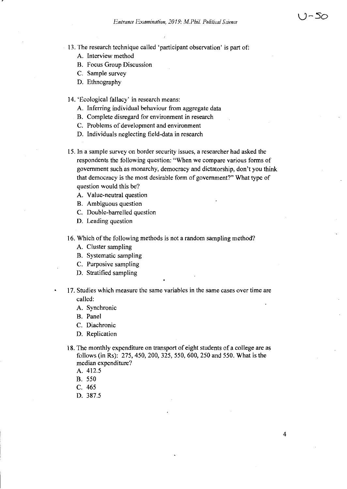4

13. The research technique called 'participant observation' is part of:

- A. Interview method
- B. Focus Group Discussion
- C. Sample survey
- D. Ethnography

14. 'Ecological fallacy' in research means:

- A. Inferring individual behaviour from aggregate data
- B. Complete disregard for environment in research
- C. Problems of development and environment
- D. Individuals neglecting field-data in research

15. In a sample survey on border security issues, a researcher had asked the respondents the following question: "When we compare various forms of government such as monarchy, democracy and dictatorship, don't you think that democracy is the most desirable form of government?" What type of question would this be?

- A. Value-neutral question
- B. Ambiguous question
- C. Double-barrelled question
- D. Leading question
- 16. Wbich of the following methods is not a random sampling method?
	- A. Cluster sampling
	- B. Systematic sampling
	- C. Purposive sampling
	- D. Stratified sampling
- 17. Studies which measure the same variables in the same cases over time are called:
	- A. Synchronic
	- B. Panel
	- C. Diachronic
	- D. Replication
	- 18. The monthly expenditure on transport of eight students of a college are as follows (in Rs): 275,450,200,325,550,600,250 and 550. What is the median expenditure?
		- A. 412.5
		- B. 550
		- C. 465
		- D. 387.5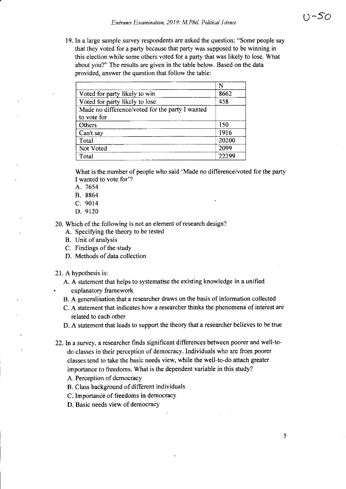19. In a large sample survey respondents are asked the question: "Some people say that they voted for a party because that party was supposed to be winning in this election while some others voted for a party that was likely to lose. What about you?" The results are given in the table below. Based on the data provided, answer the question that follow the table:

|                                                 | N     |
|-------------------------------------------------|-------|
| Voted for party likely to win                   | 8662  |
| Voted for party likely to lose                  | 458   |
| Made no difference/voted for the party I wanted |       |
| to vote for                                     |       |
| Others                                          | 150   |
| Can't say                                       | 1916  |
| Total                                           | 20200 |
| Not Voted                                       | 2099  |
| Total                                           | 22299 |

What is the number of people who said 'Made no difference/voted for the party I wanted to vote for'?

- A. 7654
- B. 8864
- C. 9014
- D. 9120

20. Which of the following is not an element of research design?

- A. Specifying the theory to be tested
- B. Unit of analysis
- C. Findings of the study
- D. Methods of data collection
- 21. A hypothesis is:
	- A. A statement that helps to systematise the existing knowledge in a unified explanatory framework
	- B. A generalisation that a researcher draws on the basis of information collected
	- C. A statement that indicates how a researcher thinks the phenomena of interest are related to each other
	- D. A statement that leads to support the theory that a researcher believes to be true
- 22. In a survey, a researcher finds significant differences between poorer and well-todo classes in their perception of democracy. Individuals who are from poorer classes tend to take the basic needs view, while the well-to-do attach greater importance to freedoms. What is the dependent variable in this study?
	- A. Perception of democracy
	- B. Class background of different individuals
	- C. Importance of freedoms in democracy
	- D. Basic needs view of democracy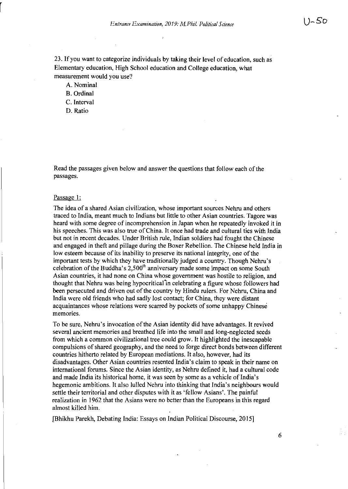23. If you want to categorize individuals by taking their level of education, such as Elementary education, High School education and College education, what measurement would you use?

A. Nominal

B. Ordinal

C. Interval

D. Ratio

Read the passages given below and answer the questions that follow each of the passages.

#### Passage I:

The idea of a shared Asian civilization, whose important sources Nehru and others traced to India, meant much to Indians but little to other Asian countries. Tagore was heard with some degree of incomprehension in Japan when he repeatedly invoked it in his speeches. This was also true of China. It once had trade and cultural ties with India but not in recent decades. Under British rule, Indian soldiers had fought the Chinese and engaged in theft and pillage during the Boxer Rebellion. The Chinese held India in low esteem because of its inability to preserve its national integrity, one of the important tests by which they have traditionally judged a country. Though Nehru's celebration of the Buddha's  $2,500<sup>th</sup>$  anniversary made some impact on some South Asian countries, it had none on China whose government was hostile to religion, and thought that Nehru was being hypocriticaI"in celebrating a figure whose followers had been persecuted and driven out of the country by Hindu rulers. For Nehru, China and India were old friends who had sadly lost contact; for China, they were distant acquaintances whose relations were scarred by pockets of some unhappy Chinese memories.

To be sure, Nehru's invocation of the Asian identity did have advantages. It revived several ancient memories and breathed life into the small and long-neglected seeds from which a common civilizational tree could grow. It highlighted the inescapable compulsions of shared geography, and the need to forge direct bonds between different countries hitherto related by European mediations. It also, however, had its disadvantages. Other Asian countries resented India's claim to speak in their name on international forums. Since the Asian identity, as Nehru defined it, had a cultural code and made India its historical home, it was seen by some as a vehicle of India's hegemonic ambitions. It also lulled Nehru into thinking that India's neighbours would settle their territorial and other disputes with it as 'fellow Asians'. The painful realization in 1962 that the Asians were no better than the Europeans in this regard almost killed him.

[Bhikhu Parekh, Debating India: Essays on Indian Political Discourse, 2015]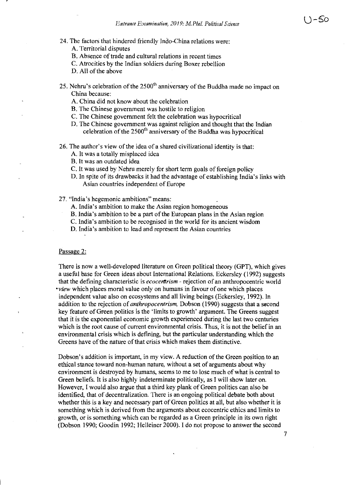- 24. The factors that hindered friendly Indo-China relations were:
	- A. Territorial disputes
	- B. Absence of trade and cultural relations in recent times
	- C. Atrocities by the Indian soldiers during Boxer rebellion

D. All of the above

- 25. Nehru's celebration of the  $2500<sup>th</sup>$  anniversary of the Buddha made no impact on China because:
	- A. China did not know about the celebration
	- B. The Chinese government was hostile to religion
	- C. The Chinese government felt the celebration was hypocritical
	- D. The Chinese government was against religion and thought that the Indian celebration of the 2500<sup>th</sup> anniversary of the Buddha was hypocritical
- 26. The author's view of the idea of a shared civilizational identity is that:
	- A. It was a totally misplaced idea
	- B. It was an outdated idea
	- C. It was used by Nehru merely for short term goals of foreign policy
	- D. In spite of its drawbacks it had the advantage of establishing India's links with Asian countries independent of Europe

27. "India's hegemonic ambitions" means:

- A. India's ambition to make the Asian region homogeneous
- B. India's ambition to be a part of the European plans in the Asian region
- C. India's ambition to be recognised in the world for its ancient wisdom

D. India's ambition to lead and represent the Asian countries

#### Passage 2:

There is now a well-developed literature on Green political theory (GPT), which gives a useful base for Green ideas about International Relations. Eckersley (1992) suggests that the defining characteristic is *ecocerttrism* - rejection of an anthropocentric world *'view* which places moral value only on humans in favour of one which places independent value also on ecosystems and all living beings (Eckersley, 1992). In addition to the rejection of *anthropocentrism*, Dobson (1990) suggests that a second key feature of Green politics is the 'limits to growth' argument. The Greens suggest that it is the exponential economic growth experienced during the last two centuries which is the root cause of current environmental crisis. Thus, it is not the belief in an environmental crisis which is defining, but the particular understanding which the Greens have of the nature of that crisis which makes them distinctive.

Dobson's addition is important, in my view. A reduction of the Green position to an ethical stance toward non-human nature, without a set of arguments about why environment is destroyed by humans, seems to me to lose much of what is central to Green beliefs. It is also highly indeterminate politically, as I will show later on. However, I would also argue that a third key plank of Green politics can also be identified, that of decentralization. There is an ongoing political debate both about whether this is a key and necessary part of Green politics at all, but also whether it is something which is derived from the arguments about ecocentric ethics and limits to growth, or is something which can be regarded as a Green principle in its own right (Dobson 1990; Goodin 1992; Helleiner 2000). I do not propose to answer the second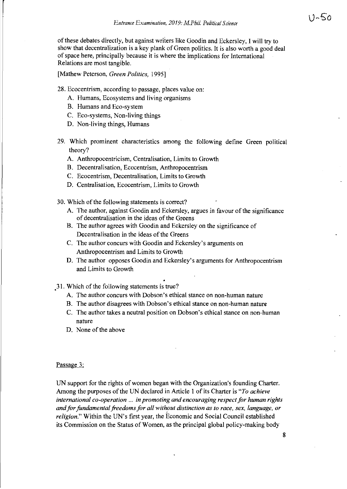of these debates directly, but against writers like Goodin and Eckersley, I will try to show that decentralization is a key plank of Green politics. It is also worth a good deal of space here, principally because it is where the implications for International Relations are most tangible.

[Mathew Peterson, *Green Politics, 1995]* 

- 28. Ecocentrism, according to passage, places value on:
	- A. Humans, Ecosystems and living organisms
	- B. Humans and Eco-system
	- C. Eco-systems, Non-living things
	- D. Non-living things, Humans
- 29. Which prominent characteristics among the following define Green political theory?
	- A. Anthropocentricism, Centralisation, Limits to Growth
	- B. Decentralisation, Ecocentrism, Anthropocentrism
	- C. Ecocentrism, Decentralisation, Limits to Growth
	- D. Centralisation, Ecocentrism, Limits to Growth
- 30. Which of the following statements is correct?
	- A. The author, against Goodin and Eckersley, argues in favour of the significance of decentralisation in the ideas of the Greens
	- B. The author agrees with Goodin and Eckersley on the significance of Decentralisation in the ideas of the Greens
	- C. The author concurs with Goodin and Eckersley's arguments on Anthropocentrism and Limits to Growth
	- D. The author opposes Goodin and Eckersley's arguments for Anthropocentrism and Limits to Growth

31. Which of the following statements is true?

- A. The author concurs with Dobson's ethical stance on non-human nature
- B. The author disagrees with Dobson's ethical stance on non-human nature
- C. The author takes a neutral position on Dobson's ethical stance on non-human nature
- D. None of the above

## Passage 3:

UN support for the rights of women began with the Organization's founding Charter. Among the purposes of the UN declared in Article 1 of its Charter is *"To achieve international co-operation* ... *in promoting and encouraging respect for human rights*  and for fundamental freedoms for all without distinction as to race, sex, language, or *religion."* Within the UN's first year, the Economic and Social Council established its Commission on the Status of Women, as the principal global policy-making body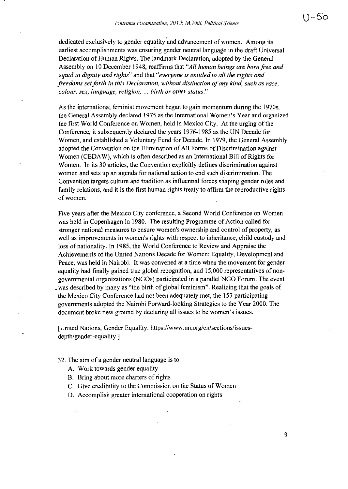r

dedicated exclusively to gender equality and advancement of women. Among its earliest accomplishments was ensuring gender neutral language in the draft Universal Declaration of Human Rights. The landmark Declaration, adopted by the General Assembly on 10 December 1948, reaffirms that *"All human beings are born free and equal in dignity and rights"* and that *"everyone is entitled to all the rights and freedoms set forth in this Declaration, without distinction of any kind, such as race, colour, sex, language, religion,* ... *birth or other status."* 

As the international feminist movement began to gain momentum during the 1970s, the General Assembly declared 1975 as the International Women's Year and organized the first World Conference on Women, held in Mexico City. At the urging of the Conference, it subsequently declared the years 1976-1985 as the UN Decade for Women, and established a Voluntary Fund for Decade. In 1979, the General Assembly adopted the Convention on the Elimination of All Forms of Discrimination against Women (CEDAW), which is often described as an International Bill of Rights for Women. In its 30 articles, the Convention explicitly defines discrimination against women and sets up an agenda for national action to end such discrimination. The Convention targets culture and tradition as influential forces shaping gender roles and family relations, and it is the first human rights treaty to affirm the reproductive rights of women.

Five years after the Mexico City conference, a Second World Conference on Women was held in Copenhagen in 1980. The resulting Programme of Action called for stronger national measures to ensure women's ownership and control of property, as well as iniprovements in women's rights with respect to inheritance, child custody and loss of nationality. In 1985, the World Conference to Review and Appraise the Achievements of the United Nations Decade for Women: Equality, Development and Peace, was held in Nairobi. It was convened at a time when the movement for gender equality had finally gained true global recognition, and 15,000 representatives of nongovernmental organizations (NGOs) participated in'a parallel NGO Forum. The event • was described by many as "the birth of global feminism". Realizing that the goals of the Mexico City Conference had not been adequately met, the 157 participating governments adopted the Nairobi Forward-looking Strategies to the Year 2000. The document broke new ground by declaring all issues to be women's issues.

[United Nations, Gender Equality. https://www.un.org/en/sections/issuesdepth/gender-equality ]

32. The aim of a gender neutral language is to:

- A. Work towards gender equality
- B. Bring about more charters of rights
- C. Give credibility to the Commission on the Status of Women
- D. Accomplish greater international cooperation on rights

9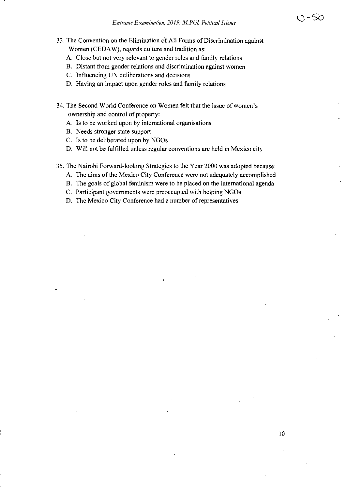- 33. The Convention on the Elimination of All Fonns of Discrimination against Women (CEDAW), regards culture and tradition as:
	- A. Close but not very relevant to gender roles and family relations
	- B. Distant from gender relations and discrimination against women
	- C. Influencing UN deliberations and decisions
	- D. Having an impact upon gender roles and family relations
- 34. The Second World Conference on Women felt that the issue of women's ownership and control of property:
	- A. Is to be worked upon by international organisations
	- B. Needs stronger state support
	- C. Is to be deliberated upon by NGOs
	- D. Will not be fulfilled unless regular conventions are held in Mexico city
- 35. The Nairobi Forward-looking Strategies to the Year 2000 was adopted because:
	- A. The aims of the Mexico City Conference were not adequately accomplished
	- B. The goals of global feminism were to be placed on the international agenda
	- C. Participant governments were preoccupied with helping NGOs
	- D. The Mexico City Conference had a number of representatives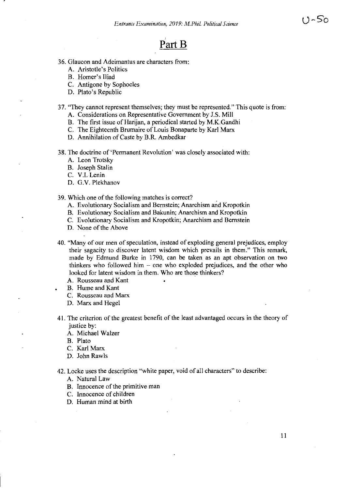# **PartB**

- 36. Glaucon and Adeimantus are characters from:
	- A. Aristotle's Politics
	- B. Homer's Iliad
	- C. Antigone by Sophocles
	- D. Plato's Republic

## 37. "They cannot represent themselves; they must be represented." This quote is from:

- A. Considerations on Representative Government by J.S. Mill
- B. The first issue of Harijan, a periodical started by M.K.Gandhi
- C. The Eighteenth Brumaire of Louis Bonaparte by Karl Marx
- D. Annihilation of Caste by B.R. Ambedkar
- 38. The doctrine of 'Permanent Revolution' was closely associated with:
	- A. Leon Trotsky
	- B. Joseph Stalin
	- C. V.I. Lenin
	- D. G.V. Plekhanov

#### 39. Which one of the following matches is correct? .

- A. Evolutionary Socialism and Bernstein; Anarchism and Kropotkin
- B. Evolutionary Socialism and Bakunin; Anarchism and Kropotkin
- C. Evolutionary Socialism and Kropotkin; Anarchism and Bernstein
- D. None of the Above

40. "Many of our men of speculation, instead of exploding general prejudices, employ their sagacity to discover latent wisdom which prevails in them." This remark, made by Edmund Burke in 1790, can be taken as an apt observation on two thinkers who followed him  $-$  one who exploded prejudices, and the other who looked for latent wisdom in them. Who are those thinkers?

- A. Rousseau and Kant
- B. Hume and Kant
- C. Rousseau and Marx
- D. Marx and Hegel
- 41. The criterion of the greatest benefit of the least advantaged occurs in the theory of justice by:
	- A. Michael Walzer
	- B. Plato
	- C. Karl Marx
	- D. John Rawls

42. Locke uses the description "white paper, void of all characters" to describe:

- A. Natural Law
- B. Innocence of the primitive man
- C. Innocence of children
- D. Human mind at birth

u~5'o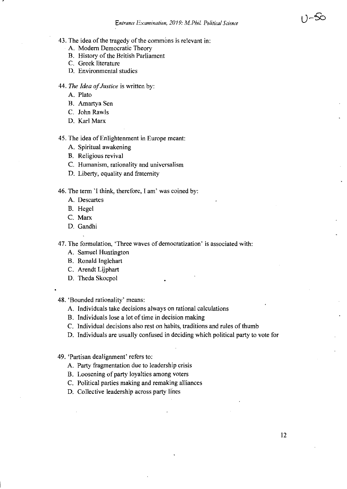- 43. The idea of the tragedy of the commons is relevant in:
	- A. Modem Democratic Theory
	- B. History of the British Parliament
	- C. Greek literature
	- D. Environmental studies
- *44. The Idea of Justice* is written by:
	- A. Plato
	- B. Amartya Sen
	- C. John Rawls
	- D. Karl Marx

45. The idea of Enlightenment in Europe meant:

- A. Spiritual awakening
- B. Religious revival
- C. Humanism, rationality and universalism
- D. Liberty, equality and fraternity

46. The term 'I think, therefore, I am' was coined by:

- A. Descartes
- B. Hegel
- C. Marx
- D. Gandhi

47. The formulation, 'Three waves of democratization' is associated with:

- A. Samuel Huntington
- B. Ronald Inglehart
- C. Arendt Lijphart
- D. Theda Skocpol
- 48. 'Bounded rationality' means:
	- A. Individuals take decisions always on rational calculations
	- B. Individuals lose a lot of time in decision making
	- C. Individual decisions also rest on habits, traditions and rules of thumb
	- D. Individuals are usually confused in deciding which political party to vote for

49. 'Partisan dealignment' refers to:

- A. Party fragmentation due to leadership crisis
- B. Loosening of party loyalties among voters
- C. Political parties making and remaking alliances
- D. Collective leadership across party lines

−నం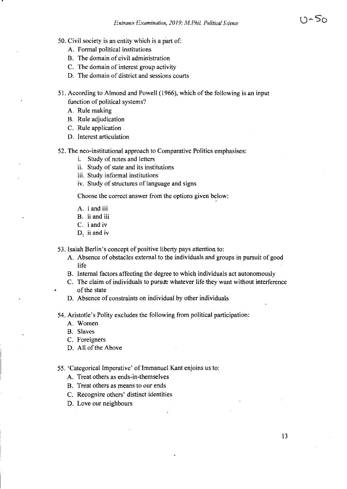- 50. Civil society is an entity which is a part of:
	- A. Formal political institutions
	- B. The domain of civil administration
	- C. The domain of interest group activity
	- D. The domain of district and sessions courts
- 51. According to Almond and Powell (1966), which of the following is an input function of political systems?
	- A. Rule making
	- B. Rule adjudication
	- C. Rule application
	- D. Interest articulation
- 52. The neo-institutional approach to Comparative Politics emphasises:
	- i. Study of notes and letters
	- ii. Study of state and its institutions
	- iii. Study informal institutions
	- iv. Study of structures of language and signs

Choose the correct answer from the options given below:

- A. i and iii
- B. ii and iii
- C. i and iv
- D, ii and iv

53. Isaiah Berlin's concept of positive liberty pays attention to:

- A. Absence of obstacles external to the individuals and groups in pursuit of good life
- B. Internal factors affecting the degree to which individuals act autonomously
- C. The claim of individuals to pursue whatever life they want without interference of the state
- D. Absence of constraints on individual by other individuals
- 54. Aristotle's Polity excludes the following from political participation:
	- A. Women
	- B. Slaves
	- C. Foreigners
	- D. All of the Above
- 55. 'Categorical Imperative' of Immanuel Kant enjoins us to:
	- A. Treat others as ends-in-themselves
	- B. Treat others as means to our ends
	- C. Recognize others' distinct identities
	- D. Love our neighbours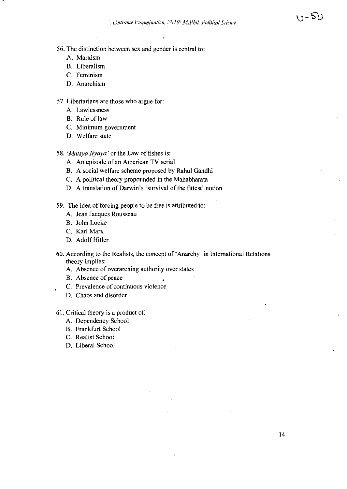- A. Marxism
- B. Liberalism
- C. Feminism
- D. Anarchism
- 57. Libertarians are those who argue for:
	- A. Lawlessness
	- B. Rule of law
	- C. Minimum government
	- D. Welfare state
- *58. 'Matsya Nyaya'* or the Law of fishes is:
	- A. An episode of an American TV serial
	- B. A social welfare scheme proposed by Rahul Gandhi
	- C. A political theory propounded in the Mahabharata
	- D. A translation of Darwin's 'survival of the fittest' notion
- 59. The idea of forcing people to be free is attributed to:
	- A. Jean Jacques Rousseau
	- B. John Locke
	- C. Karl Marx
	- D. Adolf Hitler
- 60. According to the Realists, the concept of 'Anarchy' in International Relations theory implies:
	- A. Absence of overarching authority over states
	- B. Absence of peace
	- C. Prevalence of continuous violence
	- D. Chaos and disorder
- 61. Critical theory is a product of:
	- A. Dependency School
	- B. Frankfurt School
	- C. Realist School
	- D. Liberal School

 $U - 50$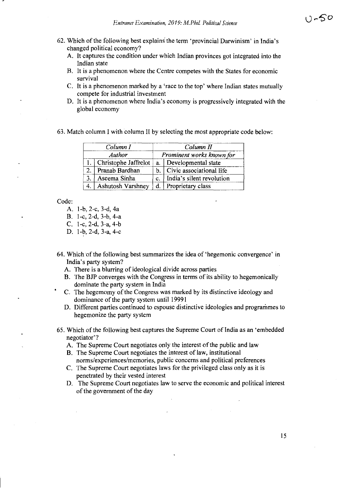- 62. Which of the following best explains the term 'provincial Darwinism' in India's changed political economy?
	- A. It captures the condition under which Indian provinces got integrated into the Indian state
	- B. It is a phenomenon where the Centre competes with the States for economic survival
	- C. It is a phenomenon marked by a 'race to the top' where Indian states mutually compete for industrial investment
	- D. It is a phenomenon where India's economy is progressively integrated with the global economy
- 63. Match column I with column II by selecting the most appropriate code below:

|    | Column I                 | Column II                 |                           |
|----|--------------------------|---------------------------|---------------------------|
|    | Author                   | Prominent works known for |                           |
|    | Christophe Jaffrelot     | a.                        | Developmental state       |
|    | Pranab Bardhan           | $b_{-}$                   | Civic associational life  |
| 3. | Aseema Sinha             | c.                        | India's silent revolution |
|    | <b>Ashutosh Varshney</b> |                           | d. Proprietary class      |

Code:

A. I-b, 2-c, 3-d, 4a B. I-c, 2-d, 3-b, 4-a

- C. I-c, 2-d, 3-a, 4-b
- D. I-b, 2-d, 3-a, 4-c
- 64. Which of the following best summarizes the idea of 'hegemonic convergence' in India's party system?
	- A. There is a blurring of ideological divide across parties
	- B. The BJP converges with the Congress in terms of its ability to hegemonically dominate the party system in India
	- C. The hegemomy of the Congress was marked by its distinctive ideology and dominance of the party system until 19991
	- D. Different parties continued to espouse distinctive ideologies and programmes to hegemonize the party system
- 65. Which of the following best captures the Supreme Court of India as an 'embedded negotiator'?
	- A. The Supreme Court negotiates only the interest of the public and law
	- B. The Supreme Court negotiates the interest of law, institutional
	- norms/experiences/memories, public concerns and political preferences C. The Supreme Court negotiates laws for the privileged class only as it is
		- penetrated by their vested interest
	- D. The Supreme Court negotiates law to serve the economic and political interest of the government of the day

15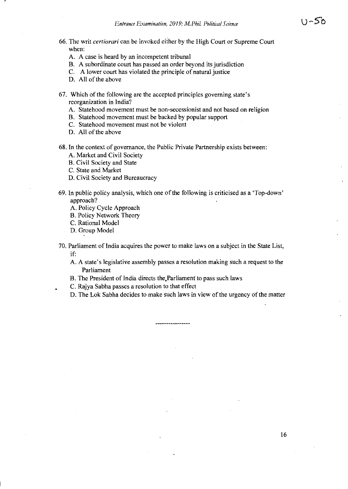- 66. The writ *certiorari* can be invoked either by the High Court or Supreme Court when:
	- A. A case is heard by an incompetent tribunal
	- B. A subordinate court has passed an order beyond its jurisdiction
	- C. A lower court has violated the principle of natural justice
	- D. All of the above
- 67. Which of the following are the accepted principles governing state's reorganization in India?
	- A. Statehood movement must be non-secessionist and not based on religion
	- B. Statehood movement must be backed by popular support
	- C. Statehood movement must not be violent
	- D. All of the above
- 68. In the context of governance, the Public Private Partnership exists between:
	- A. Market and Civil Society
	- B. Civil Society and State
	- C. State and Market
	- D. Civil Society and Bureaucracy
- 69. In public policy analysis, which one of the following is criticised as a 'Top-down' approach?
	- A. Policy Cycle Approach
	- B. Policy Network Theory
	- C. Rational Model
	- D. Group Model
- 70. Parliament of India acquires the power to make laws on a subject in the State List, if:
	- A. A state's legislative assembly passes a resolution making such a request to the Parliament
	- B. The President of India directs the.Parliament to pass such laws
	- C. Rajya Sabha passes a resolution to that effect
	- D. The Lok Sabha decides to make such laws in view of the urgency of the matter

\_\_\_\_\_\_\_\_\_\_\_\_\_\_